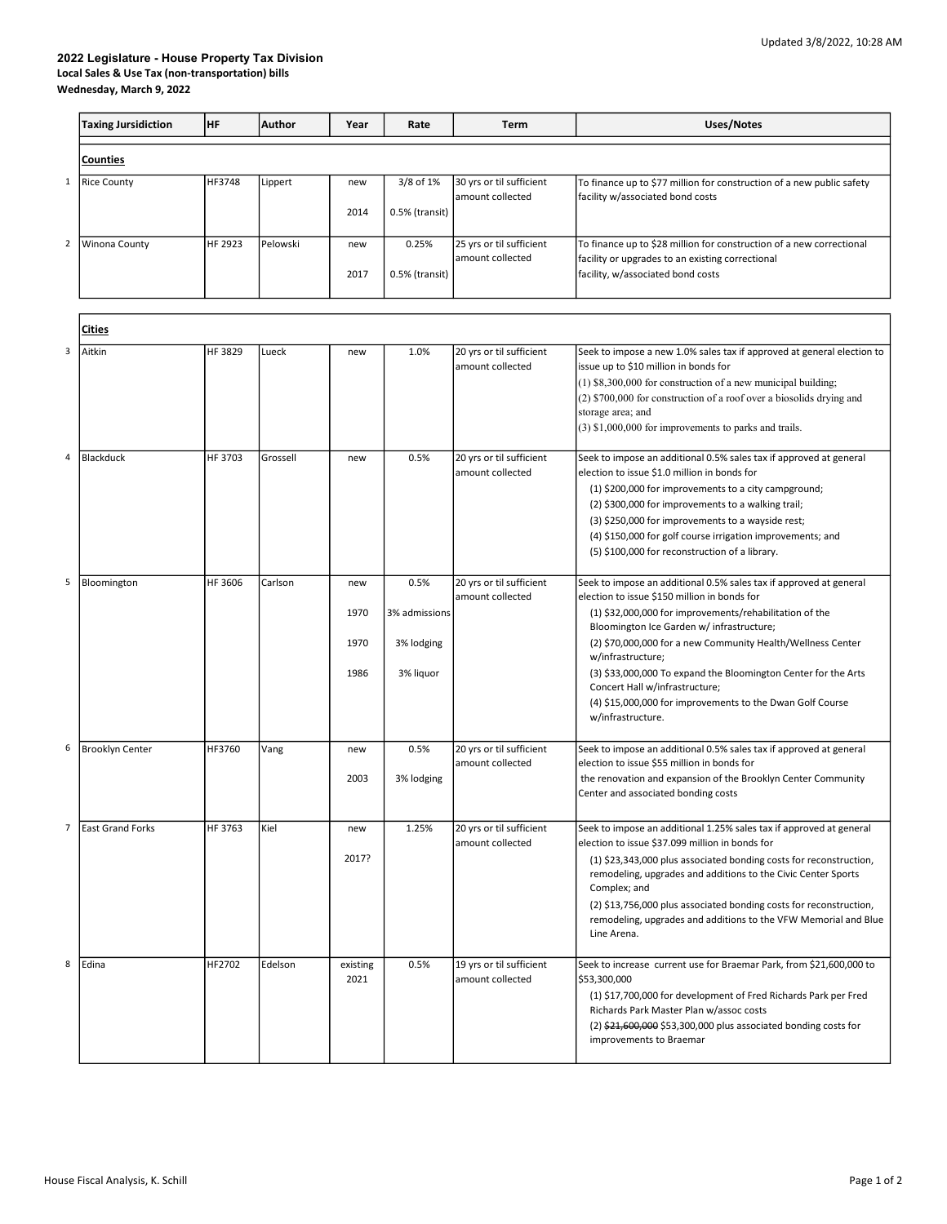## 2022 Legislature - House Property Tax Division Local Sales & Use Tax (non-transportation) bills Wednesday, March 9, 2022

|   | <b>Taxing Jursidiction</b> | HF      | Author   | Year             | Rate           | Term                                         | <b>Uses/Notes</b>                                                                                                                     |  |  |  |
|---|----------------------------|---------|----------|------------------|----------------|----------------------------------------------|---------------------------------------------------------------------------------------------------------------------------------------|--|--|--|
|   | <b>Counties</b>            |         |          |                  |                |                                              |                                                                                                                                       |  |  |  |
| 1 | <b>Rice County</b>         | HF3748  | Lippert  | new              | 3/8 of 1%      | 30 yrs or til sufficient<br>amount collected | To finance up to \$77 million for construction of a new public safety<br>facility w/associated bond costs                             |  |  |  |
|   |                            |         |          | 2014             | 0.5% (transit) |                                              |                                                                                                                                       |  |  |  |
| 2 | Winona County              | HF 2923 | Pelowski | new              | 0.25%          | 25 yrs or til sufficient<br>amount collected | To finance up to \$28 million for construction of a new correctional<br>facility or upgrades to an existing correctional              |  |  |  |
|   |                            |         |          | 2017             | 0.5% (transit) |                                              | facility, w/associated bond costs                                                                                                     |  |  |  |
|   |                            |         |          |                  |                |                                              |                                                                                                                                       |  |  |  |
|   | Ci <u>ties</u>             |         |          |                  |                |                                              |                                                                                                                                       |  |  |  |
| 3 | Aitkin                     | HF 3829 | Lueck    | new              | 1.0%           | 20 yrs or til sufficient<br>amount collected | Seek to impose a new 1.0% sales tax if approved at general election to<br>issue up to \$10 million in bonds for                       |  |  |  |
|   |                            |         |          |                  |                |                                              | (1) \$8,300,000 for construction of a new municipal building;<br>(2) \$700,000 for construction of a roof over a biosolids drying and |  |  |  |
|   |                            |         |          |                  |                |                                              | storage area; and<br>$(3)$ \$1,000,000 for improvements to parks and trails.                                                          |  |  |  |
| 4 | Blackduck                  | HF 3703 | Grossell | new              | 0.5%           | 20 yrs or til sufficient<br>amount collected | Seek to impose an additional 0.5% sales tax if approved at general<br>election to issue \$1.0 million in bonds for                    |  |  |  |
|   |                            |         |          |                  |                |                                              | (1) \$200,000 for improvements to a city campground;                                                                                  |  |  |  |
|   |                            |         |          |                  |                |                                              | (2) \$300,000 for improvements to a walking trail;<br>(3) \$250,000 for improvements to a wayside rest;                               |  |  |  |
|   |                            |         |          |                  |                |                                              | (4) \$150,000 for golf course irrigation improvements; and                                                                            |  |  |  |
|   |                            |         |          |                  |                |                                              | (5) \$100,000 for reconstruction of a library.                                                                                        |  |  |  |
| 5 | Bloomington                | HF 3606 | Carlson  | new              | 0.5%           | 20 yrs or til sufficient<br>amount collected | Seek to impose an additional 0.5% sales tax if approved at general<br>election to issue \$150 million in bonds for                    |  |  |  |
|   |                            |         |          | 1970             | 3% admissions  |                                              | (1) \$32,000,000 for improvements/rehabilitation of the<br>Bloomington Ice Garden w/ infrastructure;                                  |  |  |  |
|   |                            |         |          | 1970             | 3% lodging     |                                              | (2) \$70,000,000 for a new Community Health/Wellness Center<br>w/infrastructure;                                                      |  |  |  |
|   |                            |         |          | 1986             | 3% liquor      |                                              | (3) \$33,000,000 To expand the Bloomington Center for the Arts<br>Concert Hall w/infrastructure;                                      |  |  |  |
|   |                            |         |          |                  |                |                                              | (4) \$15,000,000 for improvements to the Dwan Golf Course<br>w/infrastructure.                                                        |  |  |  |
| 6 | Brooklyn Center            | HF3760  | Vang     | new              | 0.5%           | 20 yrs or til sufficient<br>amount collected | Seek to impose an additional 0.5% sales tax if approved at general<br>election to issue \$55 million in bonds for                     |  |  |  |
|   |                            |         |          | 2003             | 3% lodging     |                                              | the renovation and expansion of the Brooklyn Center Community<br>Center and associated bonding costs                                  |  |  |  |
|   |                            |         |          |                  |                |                                              |                                                                                                                                       |  |  |  |
| 7 | <b>East Grand Forks</b>    | HF 3763 | Kiel     | new              | 1.25%          | 20 yrs or til sufficient<br>amount collected | Seek to impose an additional 1.25% sales tax if approved at general<br>election to issue \$37.099 million in bonds for                |  |  |  |
|   |                            |         |          | 2017?            |                |                                              | (1) \$23,343,000 plus associated bonding costs for reconstruction,<br>remodeling, upgrades and additions to the Civic Center Sports   |  |  |  |
|   |                            |         |          |                  |                |                                              | Complex; and<br>(2) \$13,756,000 plus associated bonding costs for reconstruction,                                                    |  |  |  |
|   |                            |         |          |                  |                |                                              | remodeling, upgrades and additions to the VFW Memorial and Blue<br>Line Arena.                                                        |  |  |  |
| 8 | Edina                      | HF2702  | Edelson  | existing<br>2021 | 0.5%           | 19 yrs or til sufficient<br>amount collected | Seek to increase current use for Braemar Park, from \$21,600,000 to<br>\$53,300,000                                                   |  |  |  |
|   |                            |         |          |                  |                |                                              | (1) \$17,700,000 for development of Fred Richards Park per Fred                                                                       |  |  |  |
|   |                            |         |          |                  |                |                                              | Richards Park Master Plan w/assoc costs<br>$(2)$ \$21,600,000 \$53,300,000 plus associated bonding costs for                          |  |  |  |
|   |                            |         |          |                  |                |                                              | improvements to Braemar                                                                                                               |  |  |  |